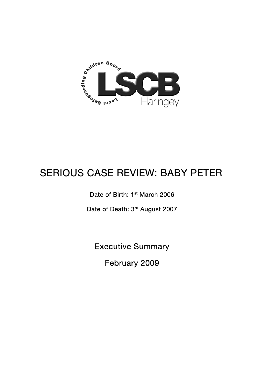

# SERIOUS CASE REVIEW: BABY PETER

Date of Birth: 1<sup>st</sup> March 2006

Date of Death: 3<sup>rd</sup> August 2007

Executive Summary

February 2009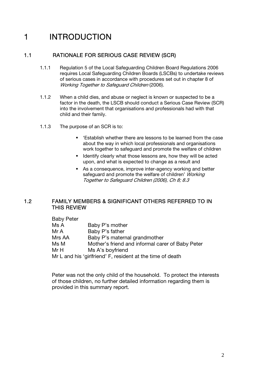## 1 INTRODUCTION

## 1.1 RATIONALE FOR SERIOUS CASE REVIEW (SCR)

- 1.1.1 Regulation 5 of the Local Safeguarding Children Board Regulations 2006 requires Local Safeguarding Children Boards (LSCBs) to undertake reviews of serious cases in accordance with procedures set out in chapter 8 of Working Together to Safeguard Children (2006).
- 1.1.2 When a child dies, and abuse or neglect is known or suspected to be a factor in the death, the LSCB should conduct a Serious Case Review (SCR) into the involvement that organisations and professionals had with that child and their family.
- 1.1.3 The purpose of an SCR is to:
	- 'Establish whether there are lessons to be learned from the case about the way in which local professionals and organisations work together to safeguard and promote the welfare of children
	- **If** Identify clearly what those lessons are, how they will be acted upon, and what is expected to change as a result and
	- As a consequence, improve inter-agency working and better safeguard and promote the welfare of children' Working Together to Safeguard Children (2006), Ch 8; 8.3

### 1.2 FAMILY MEMBERS & SIGNIFICANT OTHERS REFERRED TO IN THIS REVIEW

| <b>Baby Peter</b> |                                                            |
|-------------------|------------------------------------------------------------|
| Ms A              | Baby P's mother                                            |
| Mr A              | Baby P's father                                            |
| Mrs AA            | Baby P's maternal grandmother                              |
| Ms M              | Mother's friend and informal carer of Baby Peter           |
| Mr H              | Ms A's boyfriend                                           |
|                   | Mr L and his 'girlfriend' F, resident at the time of death |

Peter was not the only child of the household. To protect the interests of those children, no further detailed information regarding them is provided in this summary report.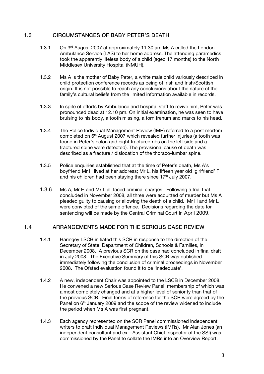## 1.3 CIRCUMSTANCES OF BABY PETER'S DEATH

- 1.3.1 On 3<sup>rd</sup> August 2007 at approximately 11.30 am Ms A called the London Ambulance Service (LAS) to her home address. The attending paramedics took the apparently lifeless body of a child (aged 17 months) to the North Middlesex University Hospital (NMUH).
- 1.3.2 Ms A is the mother of Baby Peter, a white male child variously described in child protection conference records as being of Irish and Irish/Scottish origin. It is not possible to reach any conclusions about the nature of the family's cultural beliefs from the limited information available in records.
- 1.3.3 In spite of efforts by Ambulance and hospital staff to revive him, Peter was pronounced dead at 12.10 pm. On initial examination, he was seen to have bruising to his body, a tooth missing, a torn frenum and marks to his head.
- 1.3.4 The Police Individual Management Review (IMR) referred to a post mortem completed on 6<sup>th</sup> August 2007 which revealed further injuries (a tooth was found in Peter's colon and eight fractured ribs on the left side and a fractured spine were detected). The provisional cause of death was described as a fracture / dislocation of the thoraco-lumbar spine.
- 1.3.5 Police enquiries established that at the time of Peter's death, Ms A's boyfriend Mr H lived at her address; Mr L, his fifteen year old 'girlfriend' F and his children had been staying there since  $17<sup>th</sup>$  July 2007.
- 1.3.6 Ms A, Mr H and Mr L all faced criminal charges. Following a trial that concluded in November 2008, all three were acquitted of murder but Ms A pleaded guilty to causing or allowing the death of a child. Mr H and Mr L were convicted of the same offence. Decisions regarding the date for sentencing will be made by the Central Criminal Court in April 2009.

## 1.4 ARRANGEMENTS MADE FOR THE SERIOUS CASE REVIEW

- 1.4.1 Haringey LSCB initiated this SCR in response to the direction of the Secretary of State: Department of Children, Schools & Families, in December 2008. A previous SCR on the case had concluded in final draft in July 2008. The Executive Summary of this SCR was published immediately following the conclusion of criminal proceedings in November 2008. The Ofsted evaluation found it to be 'inadequate'.
- 1.4.2 A new, independent Chair was appointed to the LSCB in December 2008. He convened a new Serious Case Review Panel, membership of which was almost completely changed and at a higher level of seniority than that of the previous SCR. Final terms of reference for the SCR were agreed by the Panel on 6<sup>th</sup> January 2009 and the scope of the review widened to include the period when Ms A was first pregnant.
- 1.4.3 Each agency represented on the SCR Panel commissioned independent writers to draft Individual Management Reviews (IMRs). Mr Alan Jones (an independent consultant and ex—Assistant Chief Inspector of the SSI) was commissioned by the Panel to collate the IMRs into an Overview Report.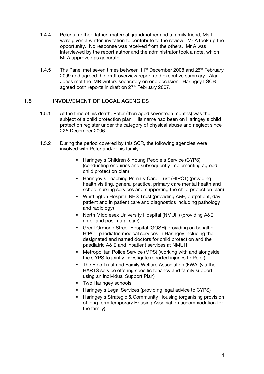- 1.4.4 Peter's mother, father, maternal grandmother and a family friend, Ms L, were given a written invitation to contribute to the review. Mr A took up the opportunity. No response was received from the others. Mr A was interviewed by the report author and the administrator took a note, which Mr A approved as accurate.
- 1.4.5 The Panel met seven times between  $11<sup>th</sup>$  December 2008 and  $25<sup>th</sup>$  February 2009 and agreed the draft overview report and executive summary. Alan Jones met the IMR writers separately on one occasion. Haringey LSCB agreed both reports in draft on 27<sup>th</sup> February 2007.

## 1.5 INVOLVEMENT OF LOCAL AGENCIES

- 1.5.1 At the time of his death, Peter (then aged seventeen months) was the subject of a child protection plan. His name had been on Haringey's child protection register under the category of physical abuse and neglect since 22nd December 2006
- 1.5.2 During the period covered by this SCR, the following agencies were involved with Peter and/or his family:
	- **Haringey's Children & Young People's Service (CYPS)** (conducting enquiries and subsequently implementing agreed child protection plan)
	- Haringey's Teaching Primary Care Trust (HtPCT) (providing health visiting, general practice, primary care mental health and school nursing services and supporting the child protection plan)
	- Whittington Hospital NHS Trust (providing A&E, outpatient, day patient and in patient care and diagnostics including pathology and radiology)
	- North Middlesex University Hospital (NMUH) (providing A&E, ante- and post-natal care)
	- Great Ormond Street Hospital (GOSH) providing on behalf of HtPCT paediatric medical services in Haringey including the designated and named doctors for child protection and the paediatric A& E and inpatient services at NMUH
	- Metropolitan Police Service (MPS) (working with and alongside the CYPS to jointly investigate reported injuries to Peter)
	- The Epic Trust and Family Welfare Association (FWA) (via the HARTS service offering specific tenancy and family support using an Individual Support Plan)
	- **Two Haringey schools**
	- **Haringey's Legal Services (providing legal advice to CYPS)**
	- **Haringey's Strategic & Community Housing (organising provision** of long term temporary Housing Association accommodation for the family)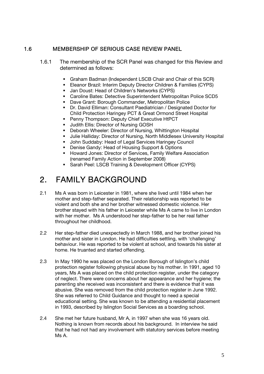## 1.6 MEMBERSHIP OF SERIOUS CASE REVIEW PANEL

1.6.1 The membership of the SCR Panel was changed for this Review and determined as follows:

- Graham Badman (Independent LSCB Chair and Chair of this SCR)
- **Eleanor Brazil: Interim Deputy Director Children & Families (CYPS)**<br>**Example: Lean Augusty Head of Children's Networks (CYPS)**
- Jan Doust: Head of Children's Networks (CYPS)
- Caroline Bates: Detective Superintendent Metropolitan Police SCD5<br>■ Dave Grant: Borough Commander, Metropolitan Police
- Dave Grant: Borough Commander, Metropolitan Police
- Dr. David Elliman: Consultant Paediatrician / Designated Doctor for Child Protection Haringey PCT & Great Ormond Street Hospital
- **Penny Thompson: Deputy Chief Executive HtPCT**
- Judith Ellis: Director of Nursing GOSH
- Deborah Wheeler: Director of Nursing, Whittington Hospital
- **Julie Halliday: Director of Nursing, North Middlesex University Hospital**
- **John Suddaby: Head of Legal Services Haringey Council**
- **-** Denise Gandy: Head of Housing Support & Options
- **Howard Jones: Director of Services, Family Welfare Association** (renamed Family Action in September 2008)
- Sarah Peel: LSCB Training & Development Officer (CYPS)

## 2. FAMILY BACKGROUND

- 2.1 Ms A was born in Leicester in 1981, where she lived until 1984 when her mother and step-father separated. Their relationship was reported to be violent and both she and her brother witnessed domestic violence. Her brother stayed with his father in Leicester while Ms A came to live in London with her mother. Ms A understood her step-father to be her real father throughout her childhood.
- 2.2 Her step-father died unexpectedly in March 1988, and her brother joined his mother and sister in London. He had difficulties settling, with 'challenging' behaviour. He was reported to be violent at school, and towards his sister at home. He truanted and started offending.
- 2.3 In May 1990 he was placed on the London Borough of Islington's child protection register following physical abuse by his mother. In 1991, aged 10 years, Ms A was placed on the child protection register, under the category of neglect. There were concerns about her appearance and her hygiene; the parenting she received was inconsistent and there is evidence that it was abusive. She was removed from the child protection register in June 1992. She was referred to Child Guidance and thought to need a special educational setting. She was known to be attending a residential placement in 1993, described by Islington Social Services as a boarding school.
- 2.4 She met her future husband, Mr A, in 1997 when she was 16 years old. Nothing is known from records about his background. In interview he said that he had not had any involvement with statutory services before meeting Ms A.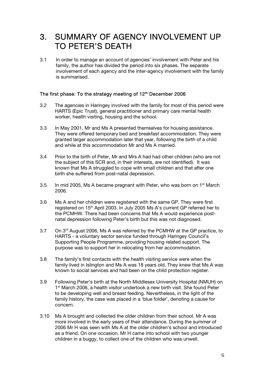## 3. SUMMARY OF AGENCY INVOLVEMENT UP TO PETER'S DEATH

3.1 In order to manage an account of agencies' involvement with Peter and his family, the author has divided the period into six phases. The separate involvement of each agency and the inter-agency involvement with the family is summarised.

#### The first phase: To the strategy meeting of  $12<sup>th</sup>$  December 2006

- 3.2 The agencies in Haringey involved with the family for most of this period were HARTS (Epic Trust), general practitioner and primary care mental health worker, health visiting, housing and the school.
- 3.3 In May 2001, Mr and Ms A presented themselves for housing assistance. They were offered temporary bed and breakfast accommodation. They were granted larger accommodation later that year, following the birth of a child and while at this accommodation Mr and Ms A married.
- 3.4 Prior to the birth of Peter, Mr and Mrs A had had other children (who are not the subject of this SCR and, in their interests, are not identified). It was known that Ms A struggled to cope with small children and that after one birth she suffered from post-natal depression.
- 3.5 In mid 2005, Ms A became pregnant with Peter, who was born on  $1<sup>st</sup>$  March 2006.
- 3.6 Ms A and her children were registered with the same GP. They were first registered on 15th April 2003. In July 2005 Ms A's current GP referred her to the PCMHW. There had been concerns that Ms A would experience postnatal depression following Peter's birth but this was not diagnosed.
- 3.7 On 3<sup>rd</sup> August 2006, Ms A was referred by the PCMHW at the GP practice, to HARTS - a voluntary sector service funded through Haringey Council's Supporting People Programme, providing housing related support. The purpose was to support her in relocating from her accommodation.
- 3.8 The family's first contacts with the health visiting service were when the family lived in Islington and Ms A was 18 years old. They knew that Ms A was known to social services and had been on the child protection register.
- 3.9 Following Peter's birth at the North Middlesex University Hospital (NMUH) on 1<sup>st</sup> March 2006, a health visitor undertook a new birth visit. She found Peter to be developing well and breast feeding. Nevertheless, in the light of the family history, the case was placed in a 'blue folder', denoting a cause for concern.
- 3.10 Ms A brought and collected the older children from their school. Mr A was more involved in the early years of their attendance. During the summer of 2006 Mr H was seen with Ms A at the older children's school and introduced as a friend. On one occasion, Mr H came into school with two younger children in a buggy, to collect one of the children who was unwell.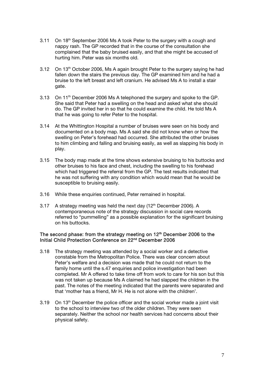- 3.11 On 18<sup>th</sup> September 2006 Ms A took Peter to the surgery with a cough and nappy rash. The GP recorded that in the course of the consultation she complained that the baby bruised easily, and that she might be accused of hurting him. Peter was six months old.
- $3.12$  On 13<sup>th</sup> October 2006, Ms A again brought Peter to the surgery saying he had fallen down the stairs the previous day. The GP examined him and he had a bruise to the left breast and left cranium. He advised Ms A to install a stair gate.
- 3.13 On 11<sup>th</sup> December 2006 Ms A telephoned the surgery and spoke to the GP. She said that Peter had a swelling on the head and asked what she should do. The GP invited her in so that he could examine the child. He told Ms A that he was going to refer Peter to the hospital.
- 3.14 At the Whittington Hospital a number of bruises were seen on his body and documented on a body map. Ms A said she did not know when or how the swelling on Peter's forehead had occurred. She attributed the other bruises to him climbing and falling and bruising easily, as well as slapping his body in play.
- 3.15 The body map made at the time shows extensive bruising to his buttocks and other bruises to his face and chest, including the swelling to his forehead which had triggered the referral from the GP. The test results indicated that he was not suffering with any condition which would mean that he would be susceptible to bruising easily.
- 3.16 While these enquiries continued, Peter remained in hospital.
- 3.17 A strategy meeting was held the next day  $(12<sup>th</sup>$  December 2006). A contemporaneous note of the strategy discussion in social care records referred to "pummelling" as a possible explanation for the significant bruising on his buttocks.

#### The second phase: from the strategy meeting on  $12<sup>th</sup>$  December 2006 to the Initial Child Protection Conference on 22nd December 2006

- 3.18 The strategy meeting was attended by a social worker and a detective constable from the Metropolitan Police. There was clear concern about Peter's welfare and a decision was made that he could not return to the family home until the s.47 enquiries and police investigation had been completed. Mr A offered to take time off from work to care for his son but this was not taken up because Ms A claimed he had slapped the children in the past. The notes of the meeting indicated that the parents were separated and that 'mother has a friend, Mr H. He is not alone with the children'.
- $3.19$  On  $13<sup>th</sup>$  December the police officer and the social worker made a joint visit to the school to interview two of the older children. They were seen separately. Neither the school nor health services had concerns about their physical safety.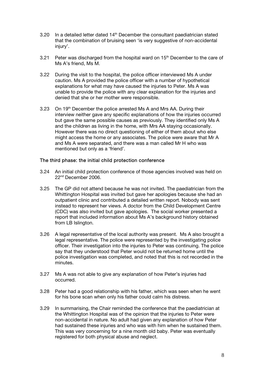- $3.20$  In a detailed letter dated  $14<sup>th</sup>$  December the consultant paediatrician stated that the combination of bruising seen 'is very suggestive of non-accidental injury'.
- 3.21 Peter was discharged from the hospital ward on  $15<sup>th</sup>$  December to the care of Ms A's friend, Ms M.
- 3.22 During the visit to the hospital, the police officer interviewed Ms A under caution. Ms A provided the police officer with a number of hypothetical explanations for what may have caused the injuries to Peter. Ms A was unable to provide the police with any clear explanation for the injuries and denied that she or her mother were responsible.
- 3.23 On 19<sup>th</sup> December the police arrested Ms A and Mrs AA. During their interview neither gave any specific explanations of how the injuries occurred but gave the same possible causes as previously. They identified only Ms A and the children as living in the home, with Mrs AA staying occasionally. However there was no direct questioning of either of them about who else might access the home or any associates. The police were aware that Mr A and Ms A were separated, and there was a man called Mr H who was mentioned but only as a 'friend'.

#### The third phase: the initial child protection conference

- 3.24 An initial child protection conference of those agencies involved was held on 22nd December 2006.
- 3.25 The GP did not attend because he was not invited. The paediatrician from the Whittington Hospital was invited but gave her apologies because she had an outpatient clinic and contributed a detailed written report. Nobody was sent instead to represent her views. A doctor from the Child Development Centre (CDC) was also invited but gave apologies. The social worker presented a report that included information about Ms A's background history obtained from LB Islington.
- 3.26 A legal representative of the local authority was present. Ms A also brought a legal representative. The police were represented by the investigating police officer. Their investigation into the injuries to Peter was continuing. The police say that they understood that Peter would not be returned home until the police investigation was completed, and noted that this is not recorded in the minutes.
- 3.27 Ms A was not able to give any explanation of how Peter's injuries had occurred.
- 3.28 Peter had a good relationship with his father, which was seen when he went for his bone scan when only his father could calm his distress.
- 3.29 In summarising, the Chair reminded the conference that the paediatrician at the Whittington Hospital was of the opinion that the injuries to Peter were non-accidental in nature. No adult had given any explanation of how Peter had sustained these injuries and who was with him when he sustained them. This was very concerning for a nine month old baby. Peter was eventually registered for both physical abuse and neglect.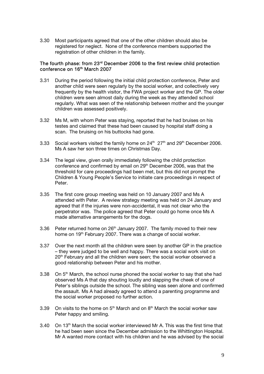3.30 Most participants agreed that one of the other children should also be registered for neglect. None of the conference members supported the registration of other children in the family.

#### The fourth phase: from 23rd December 2006 to the first review child protection conference on 16<sup>th</sup> March 2007

- 3.31 During the period following the initial child protection conference, Peter and another child were seen regularly by the social worker, and collectively very frequently by the health visitor, the FWA project worker and the GP. The older children were seen almost daily during the week as they attended school regularly. What was seen of the relationship between mother and the younger children was assessed positively.
- 3.32 Ms M, with whom Peter was staying, reported that he had bruises on his testes and claimed that these had been caused by hospital staff doing a scan. The bruising on his buttocks had gone.
- 3.33 Social workers visited the family home on  $24<sup>th</sup> 27<sup>th</sup>$  and  $29<sup>th</sup>$  December 2006. Ms A saw her son three times on Christmas Day.
- 3.34 The legal view, given orally immediately following the child protection conference and confirmed by email on 29<sup>th</sup> December 2006, was that the threshold for care proceedings had been met, but this did not prompt the Children & Young People's Service to initiate care proceedings in respect of Peter.
- 3.35 The first core group meeting was held on 10 January 2007 and Ms A attended with Peter. A review strategy meeting was held on 24 January and agreed that if the injuries were non-accidental, it was not clear who the perpetrator was. The police agreed that Peter could go home once Ms A made alternative arrangements for the dogs.
- 3.36 Peter returned home on 26<sup>th</sup> January 2007. The family moved to their new home on 19<sup>th</sup> February 2007. There was a change of social worker.
- 3.37 Over the next month all the children were seen by another GP in the practice – they were judged to be well and happy. There was a social work visit on 20<sup>th</sup> February and all the children were seen; the social worker observed a good relationship between Peter and his mother.
- 3.38 On 5<sup>th</sup> March, the school nurse phoned the social worker to say that she had observed Ms A that day shouting loudly and slapping the cheek of one of Peter's siblings outside the school. The sibling was seen alone and confirmed the assault. Ms A had already agreed to attend a parenting programme and the social worker proposed no further action.
- 3.39 On visits to the home on  $5<sup>th</sup>$  March and on  $8<sup>th</sup>$  March the social worker saw Peter happy and smiling.
- 3.40 On 13<sup>th</sup> March the social worker interviewed Mr A. This was the first time that he had been seen since the December admission to the Whittington Hospital. Mr A wanted more contact with his children and he was advised by the social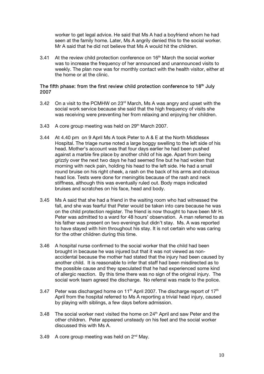worker to get legal advice. He said that Ms A had a boyfriend whom he had seen at the family home. Later, Ms A angrily denied this to the social worker. Mr A said that he did not believe that Ms A would hit the children.

 $3.41$  At the review child protection conference on  $16<sup>th</sup>$  March the social worker was to increase the frequency of her announced and unannounced visits to weekly. The plan now was for monthly contact with the health visitor, either at the home or at the clinic.

#### The fifth phase: from the first review child protection conference to  $18<sup>th</sup>$  July 2007

- 3.42 On a visit to the PCMHW on  $23<sup>rd</sup>$  March, Ms A was angry and upset with the social work service because she said that the high frequency of visits she was receiving were preventing her from relaxing and enjoying her children.
- 3.43 A core group meeting was held on 29<sup>th</sup> March 2007.
- 3.44 At 4.40 pm on 9 April Ms A took Peter to A & E at the North Middlesex Hospital. The triage nurse noted a large boggy swelling to the left side of his head. Mother's account was that four days earlier he had been pushed against a marble fire place by another child of his age. Apart from being grizzly over the next two days he had seemed fine but he had woken that morning with neck pain, holding his head to the left side. He had a small round bruise on his right cheek, a rash on the back of his arms and obvious head lice. Tests were done for meningitis because of the rash and neck stiffness, although this was eventually ruled out. Body maps indicated bruises and scratches on his face, head and body.
- 3.45 Ms A said that she had a friend in the waiting room who had witnessed the fall, and she was fearful that Peter would be taken into care because he was on the child protection register. The friend is now thought to have been Mr H. Peter was admitted to a ward for 48 hours' observation. A man referred to as his father was present on two evenings but didn't stay. Ms. A was reported to have stayed with him throughout his stay. It is not certain who was caring for the other children during this time.
- 3.46 A hospital nurse confirmed to the social worker that the child had been brought in because he was injured but that it was not viewed as nonaccidental because the mother had stated that the injury had been caused by another child. It is reasonable to infer that staff had been misdirected as to the possible cause and they speculated that he had experienced some kind of allergic reaction. By this time there was no sign of the original injury. The social work team agreed the discharge. No referral was made to the police.
- 3.47 Peter was discharged home on 11<sup>th</sup> April 2007. The discharge report of  $17<sup>th</sup>$ April from the hospital referred to Ms A reporting a trivial head injury, caused by playing with siblings, a few days before admission.
- 3.48 The social worker next visited the home on  $24<sup>th</sup>$  April and saw Peter and the other children. Peter appeared unsteady on his feet and the social worker discussed this with Ms A.
- 3.49 A core group meeting was held on 2<sup>nd</sup> May.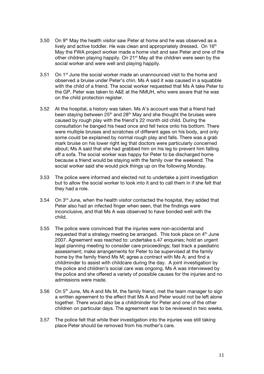- 3.50 On  $9<sup>th</sup>$  May the health visitor saw Peter at home and he was observed as a lively and active toddler. He was clean and appropriately dressed. On 16<sup>th</sup> May the FWA project worker made a home visit and saw Peter and one of the other children playing happily. On 21<sup>st</sup> May all the children were seen by the social worker and were well and playing happily.
- 3.51 On 1<sup>st</sup> June the social worker made an unannounced visit to the home and observed a bruise under Peter's chin. Ms A said it was caused in a squabble with the child of a friend. The social worker requested that Ms A take Peter to the GP. Peter was taken to A&E at the NMUH, who were aware that he was on the child protection register.
- 3.52 At the hospital, a history was taken. Ms A's account was that a friend had been staying between  $25<sup>th</sup>$  and  $28<sup>th</sup>$  May and she thought the bruises were caused by rough play with the friend's 22 month old child. During the consultation he banged his head once and fell twice onto his bottom. There were multiple bruises and scratches of different ages on his body, and only some could be explained by normal rough play and falls. There was a grab mark bruise on his lower right leg that doctors were particularly concerned about; Ms A said that she had grabbed him on his leg to prevent him falling off a sofa. The social worker was happy for Peter to be discharged home because a friend would be staying with the family over the weekend. The social worker said she would pick things up on the following Monday.
- 3.53 The police were informed and elected not to undertake a joint investigation but to allow the social worker to look into it and to call them in if she felt that they had a role.
- $3.54$  On  $3<sup>rd</sup>$  June, when the health visitor contacted the hospital, they added that Peter also had an infected finger when seen, that the findings were inconclusive, and that Ms A was observed to have bonded well with the child.
- 3.55 The police were convinced that the injuries were non-accidental and requested that a strategy meeting be arranged. This took place on  $4<sup>th</sup>$  June 2007. Agreement was reached to: undertake s.47 enquiries; hold an urgent legal planning meeting to consider care proceedings; fast track a paediatric assessment; make arrangements for Peter to be supervised at the family home by the family friend Ms M; agree a contract with Ms A; and find a childminder to assist with childcare during the day. A joint investigation by the police and children's social care was ongoing. Ms A was interviewed by the police and she offered a variety of possible causes for the injuries and no admissions were made.
- 3.56 On  $5<sup>th</sup>$  June, Ms A and Ms M, the family friend, met the team manager to sign a written agreement to the effect that Ms A and Peter would not be left alone together. There would also be a childminder for Peter and one of the other children on particular days. The agreement was to be reviewed in two weeks.
- 3.57 The police felt that while their investigation into the injuries was still taking place Peter should be removed from his mother's care.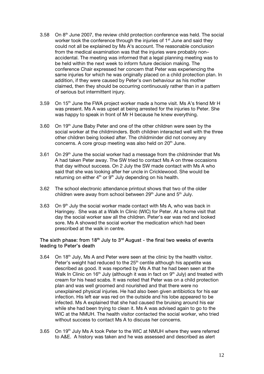- 3.58 On  $8<sup>th</sup>$  June 2007, the review child protection conference was held. The social worker took the conference through the injuries of  $1<sup>st</sup>$  June and said they could not all be explained by Ms A's account. The reasonable conclusion from the medical examination was that the injuries were probably non– accidental. The meeting was informed that a legal planning meeting was to be held within the next week to inform future decision making. The conference Chair expressed her concern that Peter was experiencing the same injuries for which he was originally placed on a child protection plan. In addition, if they were caused by Peter's own behaviour as his mother claimed, then they should be occurring continuously rather than in a pattern of serious but intermittent injury.
- 3.59 On 15<sup>th</sup> June the FWA project worker made a home visit. Ms A's friend Mr H was present. Ms A was upset at being arrested for the injuries to Peter. She was happy to speak in front of Mr H because he knew everything.
- 3.60 On 19<sup>th</sup> June Baby Peter and one of the other children were seen by the social worker at the childminders. Both children interacted well with the three other children being looked after. The childminder did not convey any concerns. A core group meeting was also held on 20<sup>th</sup> June.
- $3.61$  On 29<sup>th</sup> June the social worker had a message from the childminder that Ms A had taken Peter away. The SW tried to contact Ms A on three occasions that day without success. On 2 July the SW made contact with Ms A who said that she was looking after her uncle in Cricklewood. She would be returning on either  $4<sup>th</sup>$  or  $9<sup>th</sup>$  July depending on his health.
- 3.62 The school electronic attendance printout shows that two of the older children were away from school between  $29<sup>th</sup>$  June and  $5<sup>th</sup>$  July.
- 3.63 On 9<sup>th</sup> July the social worker made contact with Ms A, who was back in Haringey. She was at a Walk In Clinic (WIC) for Peter. At a home visit that day the social worker saw all the children. Peter's ear was red and looked sore. Ms A showed the social worker the medication which had been prescribed at the walk in centre.

#### The sixth phase: from 18<sup>th</sup> July to 3<sup>rd</sup> August - the final two weeks of events leading to Peter's death

- $3.64$  On 18<sup>th</sup> July, Ms A and Peter were seen at the clinic by the health visitor. Peter's weight had reduced to the 25<sup>th</sup> centile although his appetite was described as good. It was reported by Ms A that he had been seen at the Walk In Clinic on 16<sup>th</sup> July (although it was in fact on  $9<sup>th</sup>$  July) and treated with cream for his head scabs. It was noted that Peter was on a child protection plan and was well groomed and nourished and that there were no unexplained physical injuries. He had also been given antibiotics for his ear infection. His left ear was red on the outside and his lobe appeared to be infected. Ms A explained that she had caused the bruising around his ear while she had been trying to clean it. Ms A was advised again to go to the WIC at the NMUH. The health visitor contacted the social worker, who tried without success to contact Ms A to discuss her concerns.
- 3.65 On 19<sup>th</sup> July Ms A took Peter to the WIC at NMUH where they were referred to A&E. A history was taken and he was assessed and described as alert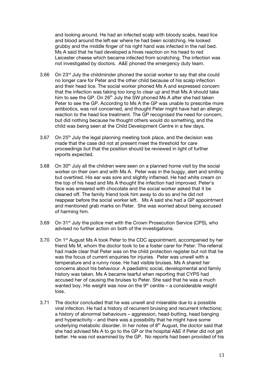and looking around. He had an infected scalp with bloody scabs, head lice and blood around the left ear where he had been scratching. He looked grubby and the middle finger of his right hand was infected in the nail bed. Ms A said that he had developed a hives reaction on his head to red Leicester cheese which became infected from scratching. The infection was not investigated by doctors. A&E phoned the emergency duty team.

- 3.66 On  $23<sup>rd</sup>$  July the childminder phoned the social worker to say that she could no longer care for Peter and the other child because of his scalp infection and their head lice. The social worker phoned Ms A and expressed concern that the infection was taking too long to clear up and that Ms A should take him to see the GP. On 26<sup>th</sup> July the SW phoned Ms A after she had taken Peter to see the GP. According to Ms A the GP was unable to prescribe more antibiotics, was not concerned, and thought Peter might have had an allergic reaction to the head lice treatment. The GP recognised the need for concern, but did nothing because he thought others would do something, and the child was being seen at the Child Development Centre in a few days.
- 3.67 On 25<sup>th</sup> July the legal planning meeting took place, and the decision was made that the case did not at present meet the threshold for care proceedings but that the position should be reviewed in light of further reports expected.
- $3.68$  On  $30<sup>th</sup>$  July all the children were seen on a planned home visit by the social worker on their own and with Ms A. Peter was in the buggy, alert and smiling but overtired. His ear was sore and slightly inflamed. He had white cream on the top of his head and Ms A thought the infection had improved. Peter's face was smeared with chocolate and the social worker asked that it be cleaned off. The family friend took him away to do so and he did not reappear before the social worker left. Ms A said she had a GP appointment and mentioned grab marks on Peter. She was worried about being accused of harming him.
- 3.69 On 31st July the police met with the Crown Prosecution Service (CPS), who advised no further action on both of the investigations.
- 3.70 On 1<sup>st</sup> August Ms A took Peter to the CDC appointment, accompanied by her friend Ms M, whom the doctor took to be a foster carer for Peter. The referral had made clear that Peter was on the child protection register but not that he was the focus of current enquiries for injuries. Peter was unwell with a temperature and a runny nose. He had visible bruises. Ms A shared her concerns about his behaviour. A paediatric social, developmental and family history was taken. Ms A became tearful when reporting that CYPS had accused her of causing the bruises to Peter. She said that he was a much wanted boy. His weight was now on the  $9<sup>th</sup>$  centile – a considerable weight loss.
- 3.71 The doctor concluded that he was unwell and miserable due to a possible viral infection. He had a history of recurrent bruising and recurrent infections; a history of abnormal behaviours – aggression, head-butting, head banging and hyperactivity – and there was a possibility that he might have some underlying metabolic disorder. In her notes of  $8<sup>th</sup>$  August, the doctor said that she had advised Ms A to go to the GP or the hospital A&E if Peter did not get better. He was not examined by the GP. No reports had been provided of his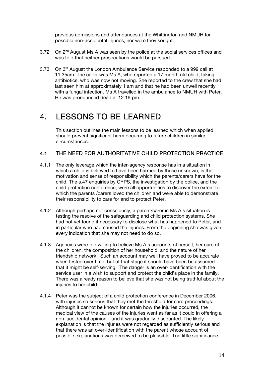previous admissions and attendances at the Whittington and NMUH for possible non-accidental injuries, nor were they sought.

- $3.72$  On  $2<sup>nd</sup>$  August Ms A was seen by the police at the social services offices and was told that neither prosecutions would be pursued.
- 3.73 On 3<sup>rd</sup> August the London Ambulance Service responded to a 999 call at 11.35am. The caller was Ms A, who reported a 17 month old child, taking antibiotics, who was now not moving. She reported to the crew that she had last seen him at approximately 1 am and that he had been unwell recently with a fungal infection. Ms A travelled in the ambulance to NMUH with Peter. He was pronounced dead at 12.19 pm.

## 4. LESSONS TO BE LEARNED

This section outlines the main lessons to be learned which when applied, should prevent significant harm occurring to future children in similar circumstances.

## 4.1 THE NEED FOR AUTHORITATIVE CHILD PROTECTION PRACTICE

- 4.1.1 The only leverage which the inter-agency response has in a situation in which a child is believed to have been harmed by those unknown, is the motivation and sense of responsibility which the parents/carers have for the child. The s.47 enquiries by CYPS, the investigation by the police, and the child protection conference, were all opportunities to discover the extent to which the parents /carers loved the children and were able to demonstrate their responsibility to care for and to protect Peter.
- 4.1.2 Although perhaps not consciously, a parent/carer in Ms A's situation is testing the resolve of the safeguarding and child protection systems. She had not yet found it necessary to disclose what has happened to Peter, and in particular who had caused the injuries. From the beginning she was given every indication that she may not need to do so.
- 4.1.3 Agencies were too willing to believe Ms A's accounts of herself, her care of the children, the composition of her household, and the nature of her friendship network. Such an account may well have proved to be accurate when tested over time, but at that stage it should have been be assumed that it might be self-serving. The danger is an over-identification with the service user in a wish to support and protect the child's place in the family. There was already reason to believe that she was not being truthful about the injuries to her child.
- 4.1.4 Peter was the subject of a child protection conference in December 2006, with injuries so serious that they met the threshold for care proceedings. Although it cannot be known for certain how the injuries occurred, the medical view of the causes of the injuries went as far as it could in offering a non–accidental opinion – and it was gradually discounted. The likely explanation is that the injuries were not regarded as sufficiently serious and that there was an over-identification with the parent whose account of possible explanations was perceived to be plausible. Too little significance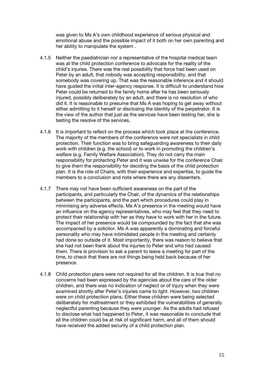was given to Ms A's own childhood experience of serious physical and emotional abuse and the possible impact of it both on her own parenting and her ability to manipulate the system .

- 4.1.5 Neither the paediatrician nor a representative of the hospital medical team was at the child protection conference to advocate for the reality of the child's injuries. There was the real possibility that force had been used on Peter by an adult, that nobody was accepting responsibility, and that somebody was covering up. That was the reasonable inference and it should have guided the initial inter-agency response. It is difficult to understand how Peter could be returned to the family home after he has been seriously injured, possibly deliberately by an adult, and there is no resolution of who did it. It is reasonable to presume that Ms A was hoping to get away without either admitting to it herself or disclosing the identity of the perpetrator. It is the view of the author that just as the services have been testing her, she is testing the resolve of the services.
- 4.1.6 It is important to reflect on the process which took place at the conference. The majority of the members of the conference were not specialists in child protection. Their function was to bring safeguarding awareness to their daily work with children (e.g. the school) or to work in promoting the children's welfare (e.g. Family Welfare Association). They do not carry the main responsibility for protecting Peter and it was unwise for the conference Chair to give them the responsibility for deciding the basis of the child protection plan. It is the role of Chairs, with their experience and expertise, to guide the members to a conclusion and note where there are any dissenters.
- 4.1.7 There may not have been sufficient awareness on the part of the participants, and particularly the Chair, of the dynamics of the relationships between the participants, and the part which procedures could play in minimising any adverse effects. Ms A's presence in the meeting would have an influence on the agency representatives, who may feel that they need to protect their relationship with her as they have to work with her in the future. The impact of her presence would be compounded by the fact that she was accompanied by a solicitor. Ms A was apparently a dominating and forceful personality who may have intimidated people in the meeting and certainly had done so outside of it. Most importantly, there was reason to believe that she had not been frank about the injuries to Peter and who had caused them. There is provision to ask a parent to leave a meeting for part of the time, to check that there are not things being held back because of her presence.
- 4.1.8 Child protection plans were not required for all the children. It is true that no concerns had been expressed by the agencies about the care of the older children, and there was no indication of neglect or of injury when they were examined shortly after Peter's injuries came to light. However, two children were on child protection plans. Either these children were being selected deliberately for maltreatment or they exhibited the vulnerabilities of generally neglectful parenting because they were younger. As the adults had refused to disclose what had happened to Peter, it was reasonable to conclude that all the children could be at risk of significant harm, and all of them should have received the added security of a child protection plan.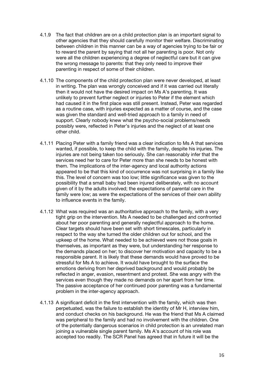- 4.1.9 The fact that children are on a child protection plan is an important signal to other agencies that they should carefully monitor their welfare. Discriminating between children in this manner can be a way of agencies trying to be fair or to reward the parent by saying that not all her parenting is poor. Not only were all the children experiencing a degree of neglectful care but it can give the wrong message to parents: that they only need to improve their parenting in respect of some of their children.
- 4.1.10 The components of the child protection plan were never developed, at least in writing. The plan was wrongly conceived and if it was carried out literally then it would not have the desired impact on Ms A's parenting. It was unlikely to prevent further neglect or injuries to Peter if the element which had caused it in the first place was still present. Instead, Peter was regarded as a routine case, with injuries expected as a matter of course, and the case was given the standard and well-tried approach to a family in need of support. Clearly nobody knew what the psycho-social problems/needs possibly were, reflected in Peter's injuries and the neglect of at least one other child.
- 4.1.11 Placing Peter with a family friend was a clear indication to Ms A that services wanted, if possible, to keep the child with the family, despite his injuries. The injuries are not being taken too seriously. She can reasonably infer that the services need her to care for Peter more than she needs to be honest with them. The implications of the inter-agency and local authority actions appeared to be that this kind of occurrence was not surprising in a family like this. The level of concern was too low; little significance was given to the possibility that a small baby had been injured deliberately, with no account given of it by the adults involved; the expectations of parental care in the family were low; as were the expectations of the services of their own ability to influence events in the family.
- 4.1.12 What was required was an authoritative approach to the family, with a very tight grip on the intervention. Ms A needed to be challenged and confronted about her poor parenting and generally neglectful approach to the home. Clear targets should have been set with short timescales, particularly in respect to the way she turned the older children out for school, and the upkeep of the home. What needed to be achieved were not those goals in themselves, as important as they were, but understanding her response to the demands placed on her; to discover her motivation and capacity to be a responsible parent. It is likely that these demands would have proved to be stressful for Ms A to achieve. It would have brought to the surface the emotions deriving from her deprived background and would probably be reflected in anger, evasion, resentment and protest. She was angry with the services even though they made no demands on her apart from her time. The passive acceptance of her continued poor parenting was a fundamental problem in the inter-agency approach.
- 4.1.13 A significant deficit in the first intervention with the family, which was then perpetuated, was the failure to establish the identity of Mr H, interview him, and conduct checks on his background. He was the friend that Ms A claimed was peripheral to the family and had no involvement with the children. One of the potentially dangerous scenarios in child protection is an unrelated man joining a vulnerable single parent family. Ms A's account of his role was accepted too readily. The SCR PaneI has agreed that in future it will be the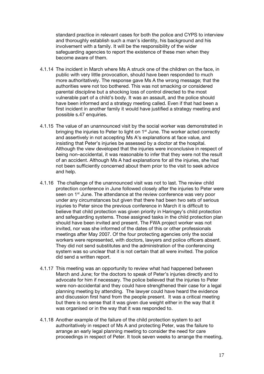standard practice in relevant cases for both the police and CYPS to interview and thoroughly establish such a man's identity, his background and his involvement with a family. It will be the responsibility of the wider safeguarding agencies to report the existence of these men when they become aware of them.

- 4.1.14 The incident in March where Ms A struck one of the children on the face, in public with very little provocation, should have been responded to much more authoritatively. The response gave Ms A the wrong message; that the authorities were not too bothered. This was not smacking or considered parental discipline but a shocking loss of control directed to the most vulnerable part of a child's body. It was an assault, and the police should have been informed and a strategy meeting called. Even if that had been a first incident in another family it would have justified a strategy meeting and possible s.47 enquiries.
- 4.1.15 The value of an unannounced visit by the social worker was demonstrated in bringing the injuries to Peter to light on 1<sup>st</sup> June. The worker acted correctly and assertively in not accepting Ms A's explanations at face value, and insisting that Peter's injuries be assessed by a doctor at the hospital. Although the view developed that the injuries were inconclusive in respect of being non–accidental, it was reasonable to infer that they were not the result of an accident. Although Ms A had explanations for all the injuries, she had not been sufficiently concerned about them prior to the visit to seek advice and help.
- 4.1.16 The challenge of the unannounced visit was not to last. The review child protection conference in June followed closely after the injuries to Peter were seen on 1<sup>st</sup> June. The attendance at the review conference was very poor under any circumstances but given that there had been two sets of serious injuries to Peter since the previous conference in March it is difficult to believe that child protection was given priority in Haringey's child protection and safeguarding systems. Those assigned tasks in the child protection plan should have been invited and present. The FWA project worker was not invited, nor was she informed of the dates of this or other professionals meetings after May 2007. Of the four protecting agencies only the social workers were represented, with doctors, lawyers and police officers absent. They did not send substitutes and the administration of the conferencing system was so unclear that it is not certain that all were invited. The police did send a written report.
- 4.1.17 This meeting was an opportunity to review what had happened between March and June; for the doctors to speak of Peter's injuries directly and to advocate for him if necessary. The police believed that the injuries to Peter were non-accidental and they could have strengthened their case for a legal planning meeting by attending. The lawyer could have heard the evidence and discussion first hand from the people present. It was a critical meeting but there is no sense that it was given due weight either in the way that it was organised or in the way that it was responded to.
- 4.1.18 Another example of the failure of the child protection system to act authoritatively in respect of Ms A and protecting Peter, was the failure to arrange an early legal planning meeting to consider the need for care proceedings in respect of Peter. It took seven weeks to arrange the meeting,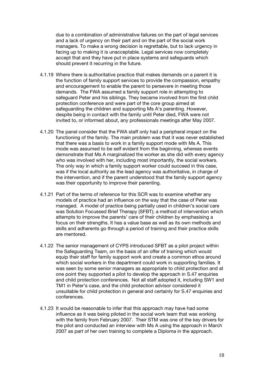due to a combination of administrative failures on the part of legal services and a lack of urgency on their part and on the part of the social work managers. To make a wrong decision is regrettable, but to lack urgency in facing up to making it is unacceptable. Legal services now completely accept that and they have put in place systems and safeguards which should prevent it recurring in the future.

- 4.1.19 Where there is authoritative practice that makes demands on a parent it is the function of family support services to provide the compassion, empathy and encouragement to enable the parent to persevere in meeting those demands. The FWA assumed a family support role in attempting to safeguard Peter and his siblings. They became involved from the first child protection conference and were part of the core group aimed at safeguarding the children and supporting Ms A's parenting. However, despite being in contact with the family until Peter died, FWA were not invited to, or informed about, any professionals meetings after May 2007.
- 4.1.20 The panel consider that the FWA staff only had a peripheral impact on the functioning of the family. The main problem was that it was never established that there was a basis to work in a family support mode with Ms A. This mode was assumed to be self evident from the beginning, whereas events demonstrate that Ms A marginalized the worker as she did with every agency who was involved with her, including most importantly, the social workers. The only way in which a family support worker could succeed in this case, was if the local authority as the lead agency was authoritative, in charge of the intervention, and if the parent understood that the family support agency was their opportunity to improve their parenting.
- 4.1.21 Part of the terms of reference for this SCR was to examine whether any models of practice had an influence on the way that the case of Peter was managed. A model of practice being partially used in children's social care was Solution Focussed Brief Therapy (SFBT); a method of intervention which attempts to improve the parents' care of their children by emphasising a focus on their strengths. It has a value base as well as its own methods and skills and adherents go through a period of training and their practice skills are mentored.
- 4.1.22 The senior management of CYPS introduced SFBT as a pilot project within the Safeguarding Team, on the basis of an offer of training which would equip their staff for family support work and create a common ethos around which social workers in the department could work in supporting families. It was seen by some senior managers as appropriate to child protection and at one point they supported a pilot to develop the approach in S.47 enquiries and child protection conferences. Not all staff adopted it, including SW1 and TM1 in Peter's case, and the child protection advisor considered it unsuitable for child protection in general and certainly for S.47 enquiries and conferences.
- 4.1.23 It would be reasonable to infer that this approach may have had some influence as it was being piloted in the social work team that was working with the family from February 2007. Their STM was one of the key drivers for the pilot and conducted an interview with Ms A using the approach in March 2007 as part of her own training to complete a Diploma in the approach.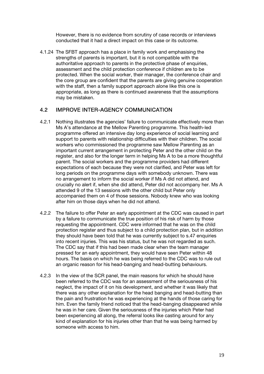However, there is no evidence from scrutiny of case records or interviews conducted that it had a direct impact on this case or its outcome.

4.1.24 The SFBT approach has a place in family work and emphasising the strengths of parents is important, but it is not compatible with the authoritative approach to parents in the protective phase of enquiries, assessment and the child protection conference if children are to be protected. When the social worker, their manager, the conference chair and the core group are confident that the parents are giving genuine cooperation with the staff, then a family support approach alone like this one is appropriate, as long as there is continued awareness that the assumptions may be mistaken.

### 4.2 IMPROVE INTER-AGENCY COMMUNICATION

- 4.2.1 Nothing illustrates the agencies' failure to communicate effectively more than Ms A's attendance at the Mellow Parenting programme. This health-led programme offered an intensive day long experience of social learning and support to parents with relationship difficulties with their children. The social workers who commissioned the programme saw Mellow Parenting as an important current arrangement in protecting Peter and the other child on the register, and also for the longer term in helping Ms A to be a more thoughtful parent. The social workers and the programme providers had different expectations of each because they were not clarified, and Peter was left for long periods on the programme days with somebody unknown. There was no arrangement to inform the social worker if Ms A did not attend, and crucially no alert if, when she did attend, Peter did not accompany her. Ms A attended 9 of the 13 sessions with the other child but Peter only accompanied them on 4 of those sessions. Nobody knew who was looking after him on those days when he did not attend.
- 4.2.2 The failure to offer Peter an early appointment at the CDC was caused in part by a failure to communicate the true position of his risk of harm by those requesting the appointment. CDC were informed that he was on the child protection register and thus subject to a child protection plan, but in addition they should have been told that he was currently subject to s.47 enquiries into recent injuries. This was his status, but he was not regarded as such. The CDC say that if this had been made clear when the team manager pressed for an early appointment, they would have seen Peter within 48 hours. The basis on which he was being referred to the CDC was to rule out an organic reason for his head-banging and head-butting behaviours.
- 4.2.3 In the view of the SCR panel, the main reasons for which he should have been referred to the CDC was for an assessment of the seriousness of his neglect, the impact of it on his development, and whether it was likely that there was any other explanation for the head banging and head-butting than the pain and frustration he was experiencing at the hands of those caring for him. Even the family friend noticed that the head-banging disappeared while he was in her care. Given the seriousness of the injuries which Peter had been experiencing all along, the referral looks like casting around for any kind of explanation for his injuries other than that he was being harmed by someone with access to him.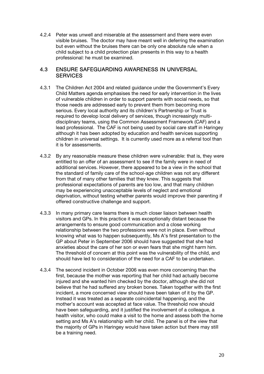4.2.4 Peter was unwell and miserable at the assessment and there were even visible bruises. The doctor may have meant well in deferring the examination but even without the bruises there can be only one absolute rule when a child subject to a child protection plan presents in this way to a health professional: he must be examined.

#### 4.3 ENSURE SAFEGUARDING AWARENESS IN UNIVERSAL **SERVICES**

- 4.3.1 The Children Act 2004 and related guidance under the Government's Every Child Matters agenda emphasises the need for early intervention in the lives of vulnerable children in order to support parents with social needs, so that those needs are addressed early to prevent them from becoming more serious. Every local authority and its children's Partnership or Trust is required to develop local delivery of services, though increasingly multidisciplinary teams, using the Common Assessment Framework (CAF) and a lead professional. The CAF is not being used by social care staff in Haringey although it has been adopted by education and health services supporting children in universal settings. It is currently used more as a referral tool than it is for assessments.
- 4.3.2 By any reasonable measure these children were vulnerable: that is, they were entitled to an offer of an assessment to see if the family were in need of additional services. However, there appeared to be a view in the school that the standard of family care of the school-age children was not any different from that of many other families that they knew. This suggests that professional expectations of parents are too low, and that many children may be experiencing unacceptable levels of neglect and emotional deprivation, without testing whether parents would improve their parenting if offered constructive challenge and support.
- 4.3.3 In many primary care teams there is much closer liaison between health visitors and GPs. In this practice it was exceptionally distant because the arrangements to ensure good communication and a close working relationship between the two professions were not in place. Even without knowing what was to happen subsequently, Ms A's first presentation to the GP about Peter in September 2006 should have suggested that she had anxieties about the care of her son or even fears that she might harm him. The threshold of concern at this point was the vulnerability of the child, and should have led to consideration of the need for a CAF to be undertaken.
- 4.3.4 The second incident in October 2006 was even more concerning than the first, because the mother was reporting that her child had actually become injured and she wanted him checked by the doctor, although she did not believe that he had suffered any broken bones. Taken together with the first incident, a more concerned view should have been taken of it by the GP. Instead it was treated as a separate coincidental happening, and the mother's account was accepted at face value. The threshold now should have been safeguarding, and it justified the involvement of a colleague, a health visitor, who could make a visit to the home and assess both the home setting and Ms A's relationship with her child. The panel is of the view that the majority of GPs in Haringey would have taken action but there may still be a training need.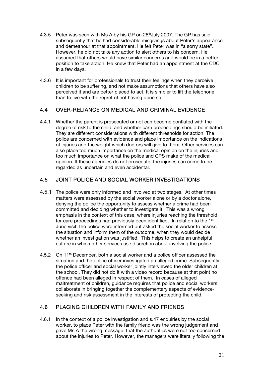- 4.3.5 Peter was seen with Ms A by his GP on 26<sup>th</sup> July 2007. The GP has said subsequently that he had considerable misgivings about Peter's appearance and demeanour at that appointment. He felt Peter was in "a sorry state". However, he did not take any action to alert others to his concern. He assumed that others would have similar concerns and would be in a better position to take action. He knew that Peter had an appointment at the CDC in a few days.
- 4.3.6 It is important for professionals to trust their feelings when they perceive children to be suffering, and not make assumptions that others have also perceived it and are better placed to act. It is simpler to lift the telephone than to live with the regret of not having done so.

## 4.4 OVER-RELIANCE ON MEDICAL AND CRIMINAL EVIDENCE

4.4.1 Whether the parent is prosecuted or not can become conflated with the degree of risk to the child, and whether care proceedings should be initiated. They are different considerations with different thresholds for action. The police are concerned with evidence and place importance on the indications of injuries and the weight which doctors will give to them. Other services can also place too much importance on the medical opinion on the injuries and too much importance on what the police and CPS make of the medical opinion. If these agencies do not prosecute, the injuries can come to be regarded as uncertain and even accidental.

## 4.5 JOINT POLICE AND SOCIAL WORKER INVESTIGATIONS

- 4.5.1 The police were only informed and involved at two stages. At other times matters were assessed by the social worker alone or by a doctor alone, denying the police the opportunity to assess whether a crime had been committed and deciding whether to investigate it. This was a wrong emphasis in the context of this case, where injuries reaching the threshold for care proceedings had previously been identified. In relation to the 1<sup>st</sup> June visit, the police were informed but asked the social worker to assess the situation and inform them of the outcome, when they would decide whether an investigation was justified. This helps to create an unhelpful culture in which other services use discretion about involving the police.
- 4.5.2 On 11<sup>th</sup> December, both a social worker and a police officer assessed the situation and the police officer investigated an alleged crime. Subsequently the police officer and social worker jointly interviewed the older children at the school. They did not do it with a video record because at that point no offence had been alleged in respect of them. In cases of alleged maltreatment of children, guidance requires that police and social workers collaborate in bringing together the complementary aspects of evidenceseeking and risk assessment in the interests of protecting the child.

## 4.6 PLACING CHILDREN WITH FAMILY AND FRIENDS

4.6.1 In the context of a police investigation and s.47 enquiries by the social worker, to place Peter with the family friend was the wrong judgement and gave Ms A the wrong message: that the authorities were not too concerned about the injuries to Peter. However, the managers were literally following the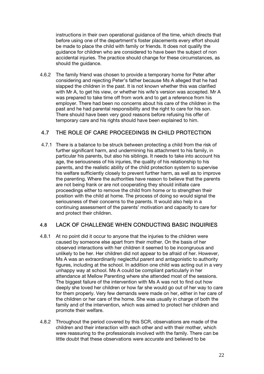instructions in their own operational guidance of the time, which directs that before using one of the department's foster placements every effort should be made to place the child with family or friends. It does not qualify the guidance for children who are considered to have been the subject of non accidental injuries. The practice should change for these circumstances, as should the guidance.

4.6.2 The family friend was chosen to provide a temporary home for Peter after considering and rejecting Peter's father because Ms A alleged that he had slapped the children in the past. It is not known whether this was clarified with Mr A, to get his view, or whether his wife's version was accepted. Mr A was prepared to take time off from work and to get a reference from his employer. There had been no concerns about his care of the children in the past and he had parental responsibility and the right to care for his son. There should have been very good reasons before refusing his offer of temporary care and his rights should have been explained to him.

## 4.7 THE ROLE OF CARE PROCEEDINGS IN CHILD PROTECTION

4.7.1 There is a balance to be struck between protecting a child from the risk of further significant harm, and undermining his attachment to his family, in particular his parents, but also his siblings. It needs to take into account his age, the seriousness of his injuries, the quality of his relationship to his parents, and the realistic ability of the child protection system to supervise his welfare sufficiently closely to prevent further harm, as well as to improve the parenting. Where the authorities have reason to believe that the parents are not being frank or are not cooperating they should initiate care proceedings either to remove the child from home or to strengthen their position with the child at home. The process of doing so would signal the seriousness of their concerns to the parents. It would also help in a continuing assessment of the parents' motivation and capacity to care for and protect their children.

## 4.8 LACK OF CHALLENGE WHEN CONDUCTING BASIC INQUIRIES

- 4.8.1 At no point did it occur to anyone that the injuries to the children were caused by someone else apart from their mother. On the basis of her observed interactions with her children it seemed to be incongruous and unlikely to be her. Her children did not appear to be afraid of her. However, Ms A was an extraordinarily neglectful parent and antagonistic to authority figures, including at the school. In addition one child was acting out in a very unhappy way at school. Ms A could be compliant particularly in her attendance at Mellow Parenting where she attended most of the sessions. The biggest failure of the intervention with Ms A was not to find out how deeply she loved her children or how far she would go out of her way to care for them properly. Very few demands were made on her, either in her care of the children or her care of the home. She was usually in charge of both the family and of the intervention, which was aimed to protect her children and promote their welfare.
- 4.8.2 Throughout the period covered by this SCR, observations are made of the children and their interaction with each other and with their mother, which were reassuring to the professionals involved with the family. There can be little doubt that these observations were accurate and believed to be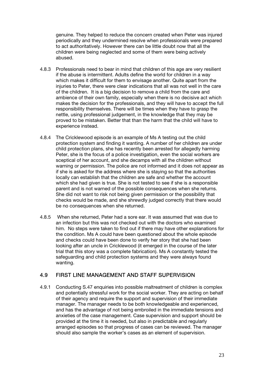genuine. They helped to reduce the concern created when Peter was injured periodically and they undermined resolve when professionals were prepared to act authoritatively. However there can be little doubt now that all the children were being neglected and some of them were being actively abused.

- 4.8.3 Professionals need to bear in mind that children of this age are very resilient if the abuse is intermittent. Adults define the world for children in a way which makes it difficult for them to envisage another. Quite apart from the injuries to Peter, there were clear indications that all was not well in the care of the children. It is a big decision to remove a child from the care and ambience of their own family, especially when there is no decisive act which makes the decision for the professionals, and they will have to accept the full responsibility themselves. There will be times when they have to grasp the nettle, using professional judgement, in the knowledge that they may be proved to be mistaken. Better that than the harm that the child will have to experience instead.
- 4.8.4 The Cricklewood episode is an example of Ms A testing out the child protection system and finding it wanting. A number of her children are under child protection plans, she has recently been arrested for allegedly harming Peter, she is the focus of a police investigation, even the social workers are sceptical of her account, and she decamps with all the children without warning or permission. The police are not informed and it does not appear as if she is asked for the address where she is staying so that the authorities locally can establish that the children are safe and whether the account which she had given is true. She is not tested to see if she is a responsible parent and is not warned of the possible consequences when she returns. She did not want to risk not being given permission or the possibility that checks would be made, and she shrewdly judged correctly that there would be no consequences when she returned.
- 4.8.5 When she returned, Peter had a sore ear. It was assumed that was due to an infection but this was not checked out with the doctors who examined him. No steps were taken to find out if there may have other explanations for the condition. Ms A could have been questioned about the whole episode and checks could have been done to verify her story that she had been looking after an uncle in Cricklewood (it emerged in the course of the later trial that this story was a complete fabrication). Ms A constantly tested the safeguarding and child protection systems and they were always found wanting.

## 4.9 FIRST LINE MANAGEMENT AND STAFF SUPERVISION

4.9.1 Conducting S.47 enquiries into possible maltreatment of children is complex and potentially stressful work for the social worker. They are acting on behalf of their agency and require the support and supervision of their immediate manager. The manager needs to be both knowledgeable and experienced, and has the advantage of not being embroiled in the immediate tensions and anxieties of the case management. Case supervision and support should be provided at the time it is needed, but also in predictable and regularly arranged episodes so that progress of cases can be reviewed. The manager should also sample the worker's cases as an element of supervision.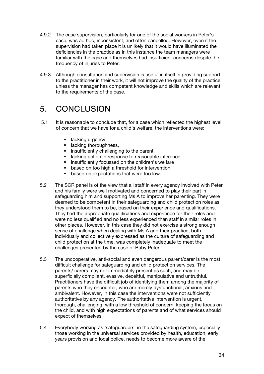- 4.9.2 The case supervision, particularly for one of the social workers in Peter's case, was ad hoc, inconsistent, and often cancelled. However, even if the supervision had taken place it is unlikely that it would have illuminated the deficiencies in the practice as in this instance the team managers were familiar with the case and themselves had insufficient concerns despite the frequency of injuries to Peter.
- 4.9.3 Although consultation and supervision is useful in itself in providing support to the practitioner in their work, it will not improve the quality of the practice unless the manager has competent knowledge and skills which are relevant to the requirements of the case.

## 5. CONCLUSION

- 5.1 It is reasonable to conclude that, for a case which reflected the highest level of concern that we have for a child's welfare, the interventions were:
	- **-** lacking urgency
	- **I** lacking thoroughness,
	- **EXEDENT** insufficiently challenging to the parent
	- **EXEC** lacking action in response to reasonable inference
	- **EXEDENT** insufficiently focussed on the children's welfare
	- **based on too high a threshold for intervention**
	- **•** based on expectations that were too low.
- 5.2 The SCR panel is of the view that all staff in every agency involved with Peter and his family were well motivated and concerned to play their part in safeguarding him and supporting Ms A to improve her parenting. They were deemed to be competent in their safeguarding and child protection roles as they understood them to be, based on their experience and qualifications. They had the appropriate qualifications and experience for their roles and were no less qualified and no less experienced than staff in similar roles in other places. However, in this case they did not exercise a strong enough sense of challenge when dealing with Ms A and their practice, both individually and collectively expressed as the culture of safeguarding and child protection at the time, was completely inadequate to meet the challenges presented by the case of Baby Peter.
- 5.3 The uncooperative, anti-social and even dangerous parent/carer is the most difficult challenge for safeguarding and child protection services. The parents/ carers may not immediately present as such, and may be superficially compliant, evasive, deceitful, manipulative and untruthful. Practitioners have the difficult job of identifying them among the majority of parents who they encounter, who are merely dysfunctional, anxious and ambivalent. However, in this case the interventions were not sufficiently authoritative by any agency. The authoritative intervention is urgent, thorough, challenging, with a low threshold of concern, keeping the focus on the child, and with high expectations of parents and of what services should expect of themselves.
- 5.4 Everybody working as 'safeguarders' in the safeguarding system, especially those working in the universal services provided by health, education, early years provision and local police, needs to become more aware of the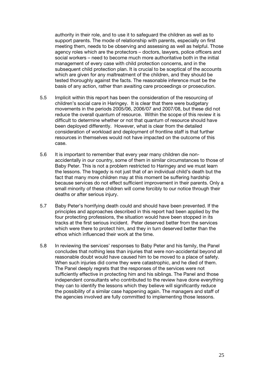authority in their role, and to use it to safeguard the children as well as to support parents. The mode of relationship with parents, especially on first meeting them, needs to be observing and assessing as well as helpful. Those agency roles which are the protectors – doctors, lawyers, police officers and social workers – need to become much more authoritative both in the initial management of every case with child protection concerns, and in the subsequent child protection plan. It is crucial to be sceptical of the accounts which are given for any maltreatment of the children, and they should be tested thoroughly against the facts. The reasonable inference must be the basis of any action, rather than awaiting care proceedings or prosecution.

- 5.5 Implicit within this report has been the consideration of the resourcing of children's social care in Haringey. It is clear that there were budgetary movements in the periods 2005/06, 2006/07 and 2007/08, but these did not reduce the overall quantum of resource. Within the scope of this review it is difficult to determine whether or not that quantum of resource should have been deployed differently. However, what is clear from the detailed consideration of workload and deployment of frontline staff is that further resources in themselves would not have impacted on the outcome of this case.
- 5.6 It is important to remember that every year many children die nonaccidentally in our country, some of them in similar circumstances to those of Baby Peter. This is not a problem restricted to Haringey and we must learn the lessons. The tragedy is not just that of an individual child's death but the fact that many more children may at this moment be suffering hardship because services do not effect sufficient improvement in their parents. Only a small minority of these children will come forcibly to our notice through their deaths or after serious injury.
- 5.7 Baby Peter's horrifying death could and should have been prevented. If the principles and approaches described in this report had been applied by the four protecting professions, the situation would have been stopped in its tracks at the first serious incident. Peter deserved better from the services which were there to protect him, and they in turn deserved better than the ethos which influenced their work at the time.
- 5.8 In reviewing the services' responses to Baby Peter and his family, the Panel concludes that nothing less than injuries that were non-accidental beyond all reasonable doubt would have caused him to be moved to a place of safety. When such injuries did come they were catastrophic, and he died of them. The Panel deeply regrets that the responses of the services were not sufficiently effective in protecting him and his siblings. The Panel and those independent consultants who contributed to the review have done everything they can to identify the lessons which they believe will significantly reduce the possibility of a similar case happening again. The managers and staff of the agencies involved are fully committed to implementing those lessons.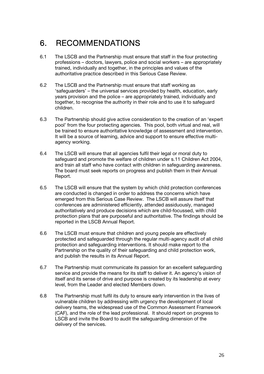## 6. RECOMMENDATIONS

- 6.1 The LSCB and the Partnership must ensure that staff in the four protecting professions – doctors, lawyers, police and social workers – are appropriately trained, individually and together, in the principles and values of the authoritative practice described in this Serious Case Review.
- 6.2 The LSCB and the Partnership must ensure that staff working as 'safeguarders' – the universal services provided by health, education, early years provision and the police – are appropriately trained, individually and together, to recognise the authority in their role and to use it to safeguard children.
- 6.3 The Partnership should give active consideration to the creation of an 'expert pool' from the four protecting agencies. This pool, both virtual and real, will be trained to ensure authoritative knowledge of assessment and intervention. It will be a source of learning, advice and support to ensure effective multiagency working.
- 6.4 The LSCB will ensure that all agencies fulfil their legal or moral duty to safeguard and promote the welfare of children under s.11 Children Act 2004, and train all staff who have contact with children in safeguarding awareness. The board must seek reports on progress and publish them in their Annual Report.
- 6.5 The LSCB will ensure that the system by which child protection conferences are conducted is changed in order to address the concerns which have emerged from this Serious Case Review. The LSCB will assure itself that conferences are administered efficiently, attended assiduously, managed authoritatively and produce decisions which are child-focussed, with child protection plans that are purposeful and authoritative. The findings should be reported in the LSCB Annual Report.
- 6.6 The LSCB must ensure that children and young people are effectively protected and safeguarded through the regular multi-agency audit of all child protection and safeguarding interventions. It should make report to the Partnership on the quality of their safeguarding and child protection work, and publish the results in its Annual Report.
- 6.7 The Partnership must communicate its passion for an excellent safeguarding service and provide the means for its staff to deliver it. An agency's vision of itself and its sense of drive and purpose is created by its leadership at every level, from the Leader and elected Members down.
- 6.8 The Partnership must fulfil its duty to ensure early intervention in the lives of vulnerable children by addressing with urgency the development of local delivery teams, the widespread use of the Common Assessment Framework (CAF), and the role of the lead professional. It should report on progress to LSCB and invite the Board to audit the safeguarding dimension of the delivery of the services.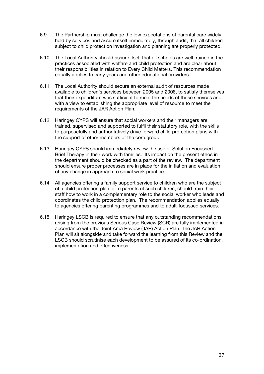- 6.9 The Partnership must challenge the low expectations of parental care widely held by services and assure itself immediately, through audit, that all children subject to child protection investigation and planning are properly protected.
- 6.10 The Local Authority should assure itself that all schools are well trained in the practices associated with welfare and child protection and are clear about their responsibilities in relation to Every Child Matters. This recommendation equally applies to early years and other educational providers.
- 6.11 The Local Authority should secure an external audit of resources made available to children's services between 2005 and 2008, to satisfy themselves that their expenditure was sufficient to meet the needs of those services and with a view to establishing the appropriate level of resource to meet the requirements of the JAR Action Plan.
- 6.12 Haringey CYPS will ensure that social workers and their managers are trained, supervised and supported to fulfil their statutory role, with the skills to purposefully and authoritatively drive forward child protection plans with the support of other members of the core group.
- 6.13 Haringey CYPS should immediately review the use of Solution Focussed Brief Therapy in their work with families. Its impact on the present ethos in the department should be checked as a part of the review. The department should ensure proper processes are in place for the initiation and evaluation of any change in approach to social work practice.
- 6.14 All agencies offering a family support service to children who are the subject of a child protection plan or to parents of such children, should train their staff how to work in a complementary role to the social worker who leads and coordinates the child protection plan. The recommendation applies equally to agencies offering parenting programmes and to adult-focussed services.
- 6.15 Haringey LSCB is required to ensure that any outstanding recommendations arising from the previous Serious Case Review (SCR) are fully implemented in accordance with the Joint Area Review (JAR) Action Plan. The JAR Action Plan will sit alongside and take forward the learning from this Review and the LSCB should scrutinise each development to be assured of its co-ordination, implementation and effectiveness.